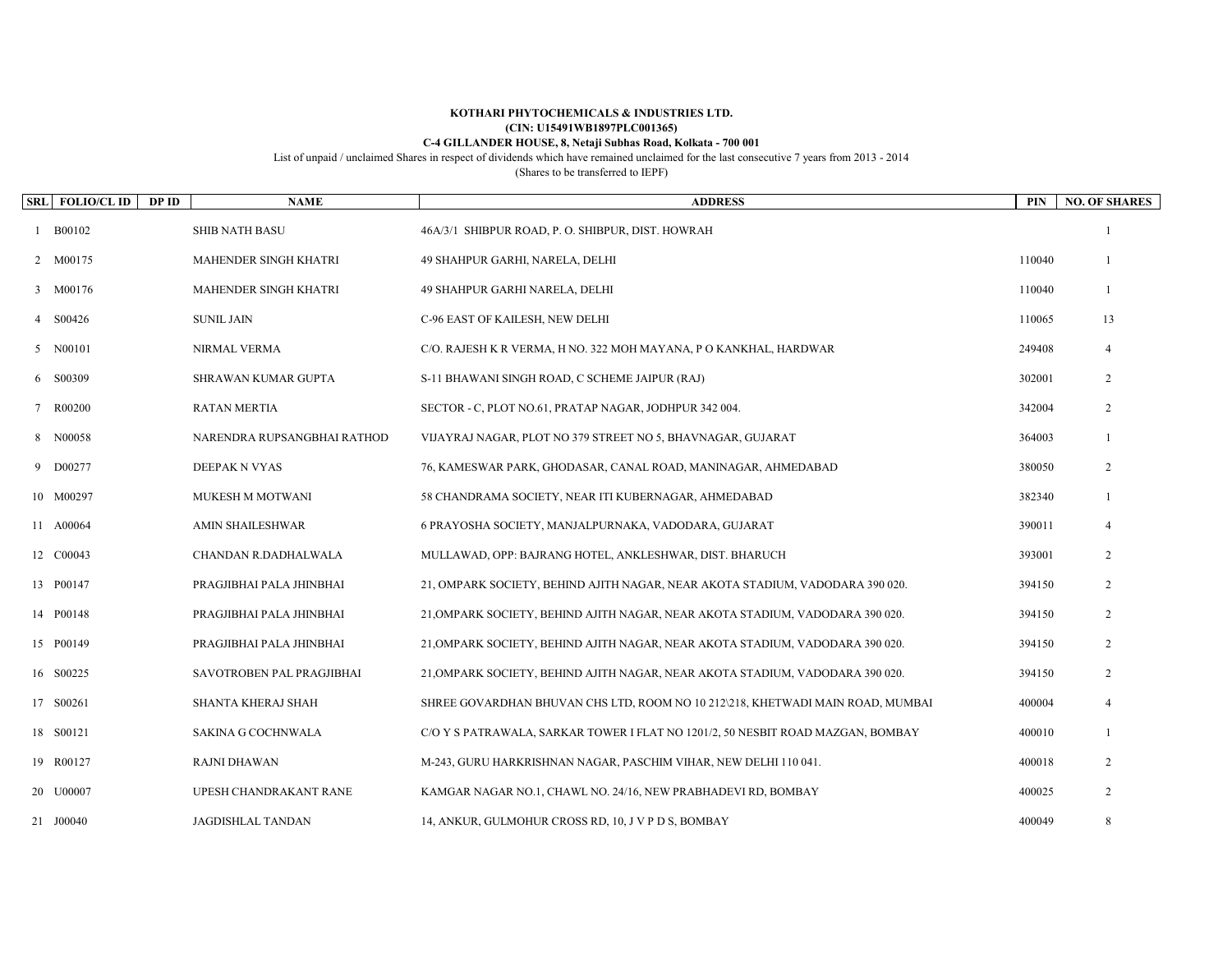## **KOTHARI PHYTOCHEMICALS & INDUSTRIES LTD. (CIN: U15491WB1897PLC001365) C-4 GILLANDER HOUSE, 8, Netaji Subhas Road, Kolkata - 700 001**

List of unpaid / unclaimed Shares in respect of dividends which have remained unclaimed for the last consecutive 7 years from 2013 - 2014

(Shares to be transferred to IEPF)

| SRL FOLIO/CL ID<br>DP ID | <b>NAME</b>                 | <b>ADDRESS</b>                                                                  | PIN    | <b>NO. OF SHARES</b>        |
|--------------------------|-----------------------------|---------------------------------------------------------------------------------|--------|-----------------------------|
| 1 B00102                 | <b>SHIB NATH BASU</b>       | 46A/3/1 SHIBPUR ROAD, P. O. SHIBPUR, DIST. HOWRAH                               |        |                             |
| 2 M00175                 | MAHENDER SINGH KHATRI       | 49 SHAHPUR GARHI, NARELA, DELHI                                                 | 110040 |                             |
| 3 M00176                 | MAHENDER SINGH KHATRI       | 49 SHAHPUR GARHI NARELA, DELHI                                                  | 110040 |                             |
| S00426                   | <b>SUNIL JAIN</b>           | C-96 EAST OF KAILESH, NEW DELHI                                                 | 110065 | 13                          |
| 5 N00101                 | NIRMAL VERMA                | C/O. RAJESH K R VERMA, H NO. 322 MOH MAYANA, P O KANKHAL, HARDWAR               | 249408 | $\boldsymbol{\vartriangle}$ |
| 6 S00309                 | SHRAWAN KUMAR GUPTA         | S-11 BHAWANI SINGH ROAD, C SCHEME JAIPUR (RAJ)                                  | 302001 | 2                           |
| 7 R00200                 | <b>RATAN MERTIA</b>         | SECTOR - C, PLOT NO.61, PRATAP NAGAR, JODHPUR 342 004.                          | 342004 | 2                           |
| 8 N00058                 | NARENDRA RUPSANGBHAI RATHOD | VIJAYRAJ NAGAR, PLOT NO 379 STREET NO 5, BHAVNAGAR, GUJARAT                     | 364003 |                             |
| 9 D00277                 | DEEPAK N VYAS               | 76, KAMESWAR PARK, GHODASAR, CANAL ROAD, MANINAGAR, AHMEDABAD                   | 380050 | 2                           |
| 10 M00297                | MUKESH M MOTWANI            | 58 CHANDRAMA SOCIETY, NEAR ITI KUBERNAGAR, AHMEDABAD                            | 382340 |                             |
| 11 A00064                | AMIN SHAILESHWAR            | 6 PRAYOSHA SOCIETY, MANJALPURNAKA, VADODARA, GUJARAT                            | 390011 | $\boldsymbol{\varDelta}$    |
| 12 C00043                | CHANDAN R.DADHALWALA        | MULLAWAD, OPP: BAJRANG HOTEL, ANKLESHWAR, DIST. BHARUCH                         | 393001 | 2                           |
| 13 P00147                | PRAGJIBHAI PALA JHINBHAI    | 21, OMPARK SOCIETY, BEHIND AJITH NAGAR, NEAR AKOTA STADIUM, VADODARA 390 020.   | 394150 | 2                           |
| 14 P00148                | PRAGJIBHAI PALA JHINBHAI    | 21, OMPARK SOCIETY, BEHIND AJITH NAGAR, NEAR AKOTA STADIUM, VADODARA 390 020.   | 394150 | 2                           |
| 15 P00149                | PRAGJIBHAI PALA JHINBHAI    | 21,OMPARK SOCIETY, BEHIND AJITH NAGAR, NEAR AKOTA STADIUM, VADODARA 390 020.    | 394150 | 2                           |
| 16 S00225                | SAVOTROBEN PAL PRAGJIBHAI   | 21, OMPARK SOCIETY, BEHIND AJITH NAGAR, NEAR AKOTA STADIUM, VADODARA 390 020.   | 394150 | 2                           |
| 17 S00261                | SHANTA KHERAJ SHAH          | SHREE GOVARDHAN BHUVAN CHS LTD, ROOM NO 10 212\218, KHETWADI MAIN ROAD, MUMBAI  | 400004 |                             |
| 18 S00121                | SAKINA G COCHNWALA          | C/O Y S PATRAWALA, SARKAR TOWER I FLAT NO 1201/2, 50 NESBIT ROAD MAZGAN, BOMBAY | 400010 |                             |
| 19 R00127                | RAJNI DHAWAN                | M-243, GURU HARKRISHNAN NAGAR, PASCHIM VIHAR, NEW DELHI 110 041.                | 400018 | 2                           |
| 20 U00007                | UPESH CHANDRAKANT RANE      | KAMGAR NAGAR NO.1, CHAWL NO. 24/16, NEW PRABHADEVI RD, BOMBAY                   | 400025 | 2                           |
| 21 J00040                | JAGDISHLAL TANDAN           | 14, ANKUR, GULMOHUR CROSS RD, 10, J V P D S, BOMBAY                             | 400049 | 8                           |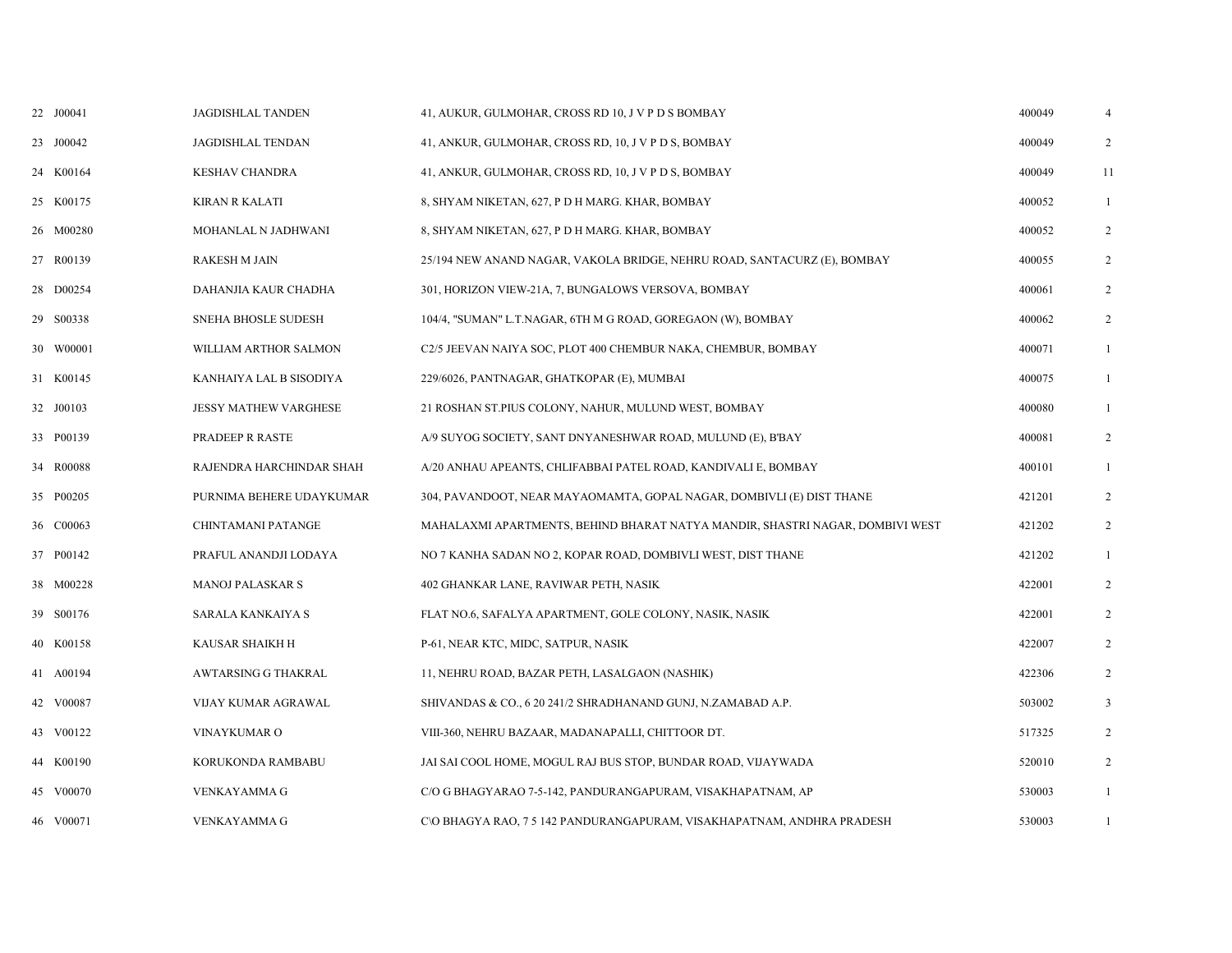| 22 J00041 | JAGDISHLAL TANDEN            | 41, AUKUR, GULMOHAR, CROSS RD 10, J V P D S BOMBAY                            | 400049 | $\overline{4}$ |
|-----------|------------------------------|-------------------------------------------------------------------------------|--------|----------------|
| 23 J00042 | <b>JAGDISHLAL TENDAN</b>     | 41, ANKUR, GULMOHAR, CROSS RD, 10, J V P D S, BOMBAY                          | 400049 | 2              |
| 24 K00164 | <b>KESHAV CHANDRA</b>        | 41, ANKUR, GULMOHAR, CROSS RD, 10, J V P D S, BOMBAY                          | 400049 | 11             |
| 25 K00175 | <b>KIRAN R KALATI</b>        | 8, SHYAM NIKETAN, 627, P D H MARG. KHAR, BOMBAY                               | 400052 | $\mathbf{1}$   |
| 26 M00280 | MOHANLAL N JADHWANI          | 8, SHYAM NIKETAN, 627, P D H MARG. KHAR, BOMBAY                               | 400052 | $\overline{2}$ |
| 27 R00139 | <b>RAKESH M JAIN</b>         | 25/194 NEW ANAND NAGAR, VAKOLA BRIDGE, NEHRU ROAD, SANTACURZ (E), BOMBAY      | 400055 | $\overline{2}$ |
| 28 D00254 | DAHANJIA KAUR CHADHA         | 301, HORIZON VIEW-21A, 7, BUNGALOWS VERSOVA, BOMBAY                           | 400061 | $\overline{2}$ |
| 29 S00338 | SNEHA BHOSLE SUDESH          | 104/4, "SUMAN" L.T.NAGAR, 6TH M G ROAD, GOREGAON (W), BOMBAY                  | 400062 | 2              |
| 30 W00001 | WILLIAM ARTHOR SALMON        | C2/5 JEEVAN NAIYA SOC, PLOT 400 CHEMBUR NAKA, CHEMBUR, BOMBAY                 | 400071 | $\mathbf{1}$   |
| 31 K00145 | KANHAIYA LAL B SISODIYA      | 229/6026, PANTNAGAR, GHATKOPAR (E), MUMBAI                                    | 400075 | $\mathbf{1}$   |
| 32 J00103 | <b>JESSY MATHEW VARGHESE</b> | 21 ROSHAN ST.PIUS COLONY, NAHUR, MULUND WEST, BOMBAY                          | 400080 | $\mathbf{1}$   |
| 33 P00139 | PRADEEP R RASTE              | A/9 SUYOG SOCIETY, SANT DNYANESHWAR ROAD, MULUND (E), B'BAY                   | 400081 | $\overline{2}$ |
| 34 R00088 | RAJENDRA HARCHINDAR SHAH     | A/20 ANHAU APEANTS, CHLIFABBAI PATEL ROAD, KANDIVALI E, BOMBAY                | 400101 | 1              |
| 35 P00205 | PURNIMA BEHERE UDAYKUMAR     | 304, PAVANDOOT, NEAR MAYAOMAMTA, GOPAL NAGAR, DOMBIVLI (E) DIST THANE         | 421201 | 2              |
| 36 C00063 | CHINTAMANI PATANGE           | MAHALAXMI APARTMENTS, BEHIND BHARAT NATYA MANDIR, SHASTRI NAGAR, DOMBIVI WEST | 421202 | 2              |
| 37 P00142 | PRAFUL ANANDJI LODAYA        | NO 7 KANHA SADAN NO 2, KOPAR ROAD, DOMBIVLI WEST, DIST THANE                  | 421202 | 1              |
| 38 M00228 | <b>MANOJ PALASKAR S</b>      | 402 GHANKAR LANE, RAVIWAR PETH, NASIK                                         | 422001 | $\overline{2}$ |
| 39 S00176 | SARALA KANKAIYA S            | FLAT NO.6, SAFALYA APARTMENT, GOLE COLONY, NASIK, NASIK                       | 422001 | $\overline{2}$ |
| 40 K00158 | KAUSAR SHAIKH H              | P-61, NEAR KTC, MIDC, SATPUR, NASIK                                           | 422007 | 2              |
| 41 A00194 | AWTARSING G THAKRAL          | 11, NEHRU ROAD, BAZAR PETH, LASALGAON (NASHIK)                                | 422306 | 2              |
| 42 V00087 | VIJAY KUMAR AGRAWAL          | SHIVANDAS & CO., 6 20 241/2 SHRADHANAND GUNJ, N.ZAMABAD A.P.                  | 503002 | 3              |
| 43 V00122 | VINAYKUMAR O                 | VIII-360, NEHRU BAZAAR, MADANAPALLI, CHITTOOR DT.                             | 517325 | 2              |
| 44 K00190 | KORUKONDA RAMBABU            | JAI SAI COOL HOME, MOGUL RAJ BUS STOP, BUNDAR ROAD, VIJAYWADA                 | 520010 | $\overline{2}$ |
| 45 V00070 | VENKAYAMMA G                 | C/O G BHAGYARAO 7-5-142, PANDURANGAPURAM, VISAKHAPATNAM, AP                   | 530003 | 1              |
| 46 V00071 | VENKAYAMMA G                 | C\O BHAGYA RAO, 7 5 142 PANDURANGAPURAM, VISAKHAPATNAM, ANDHRA PRADESH        | 530003 | 1              |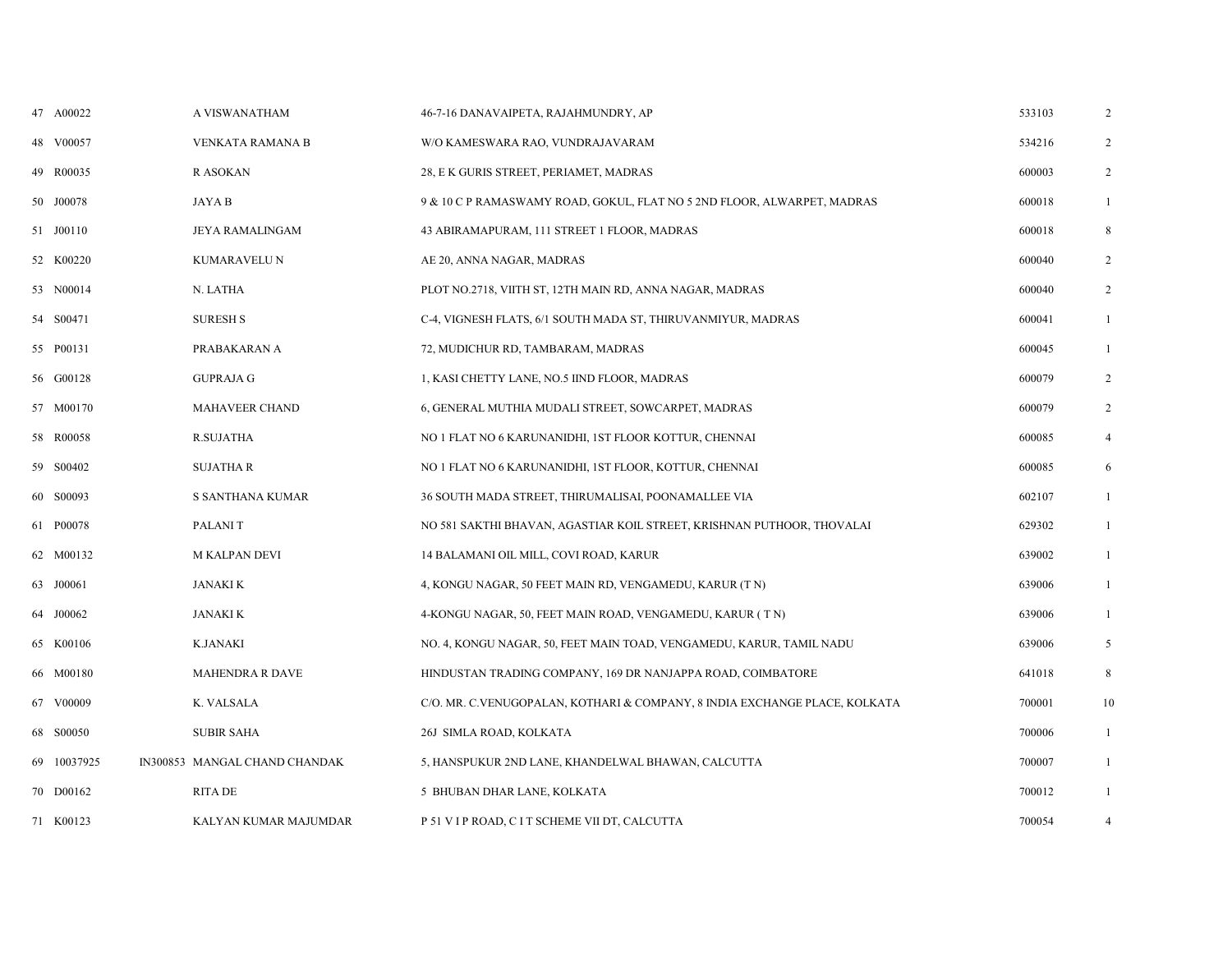| 47 A00022   | A VISWANATHAM                 | 46-7-16 DANAVAIPETA, RAJAHMUNDRY, AP                                       | 533103 | 2              |
|-------------|-------------------------------|----------------------------------------------------------------------------|--------|----------------|
| 48 V00057   | VENKATA RAMANA B              | W/O KAMESWARA RAO, VUNDRAJAVARAM                                           | 534216 | 2              |
| 49 R00035   | R ASOKAN                      | 28, E K GURIS STREET, PERIAMET, MADRAS                                     | 600003 | 2              |
| 50 J00078   | JAYA B                        | 9 & 10 C P RAMASWAMY ROAD, GOKUL, FLAT NO 5 2ND FLOOR, ALWARPET, MADRAS    | 600018 | $\mathbf{1}$   |
| 51 J00110   | JEYA RAMALINGAM               | 43 ABIRAMAPURAM, 111 STREET 1 FLOOR, MADRAS                                | 600018 | 8              |
| 52 K00220   | KUMARAVELU N                  | AE 20, ANNA NAGAR, MADRAS                                                  | 600040 | $\overline{2}$ |
| 53 N00014   | N. LATHA                      | PLOT NO.2718, VIITH ST, 12TH MAIN RD, ANNA NAGAR, MADRAS                   | 600040 | $\overline{2}$ |
| 54 S00471   | <b>SURESH S</b>               | C-4, VIGNESH FLATS, 6/1 SOUTH MADA ST, THIRUVANMIYUR, MADRAS               | 600041 | $\mathbf{1}$   |
| 55 P00131   | PRABAKARAN A                  | 72, MUDICHUR RD, TAMBARAM, MADRAS                                          | 600045 | $\mathbf{1}$   |
| 56 G00128   | <b>GUPRAJA G</b>              | 1, KASI CHETTY LANE, NO.5 IIND FLOOR, MADRAS                               | 600079 | $\overline{2}$ |
| 57 M00170   | MAHAVEER CHAND                | 6, GENERAL MUTHIA MUDALI STREET, SOWCARPET, MADRAS                         | 600079 | 2              |
| 58 R00058   | <b>R.SUJATHA</b>              | NO 1 FLAT NO 6 KARUNANIDHI, 1ST FLOOR KOTTUR, CHENNAI                      | 600085 | $\overline{4}$ |
| 59 S00402   | <b>SUJATHAR</b>               | NO 1 FLAT NO 6 KARUNANIDHI, 1ST FLOOR, KOTTUR, CHENNAI                     | 600085 | 6              |
| 60 S00093   | S SANTHANA KUMAR              | 36 SOUTH MADA STREET, THIRUMALISAI, POONAMALLEE VIA                        | 602107 | $\mathbf{1}$   |
| 61 P00078   | PALANI T                      | NO 581 SAKTHI BHAVAN, AGASTIAR KOIL STREET, KRISHNAN PUTHOOR, THOVALAI     | 629302 | $\mathbf{1}$   |
| 62 M00132   | <b>M KALPAN DEVI</b>          | 14 BALAMANI OIL MILL, COVI ROAD, KARUR                                     | 639002 | $\mathbf{1}$   |
| 63 J00061   | JANAKI K                      | 4, KONGU NAGAR, 50 FEET MAIN RD, VENGAMEDU, KARUR (T N)                    | 639006 | $\mathbf{1}$   |
| 64 J00062   | JANAKI K                      | 4-KONGU NAGAR, 50, FEET MAIN ROAD, VENGAMEDU, KARUR (TN)                   | 639006 | $\mathbf{1}$   |
| 65 K00106   | <b>K.JANAKI</b>               | NO. 4, KONGU NAGAR, 50, FEET MAIN TOAD, VENGAMEDU, KARUR, TAMIL NADU       | 639006 | 5              |
| 66 M00180   | <b>MAHENDRA R DAVE</b>        | HINDUSTAN TRADING COMPANY, 169 DR NANJAPPA ROAD, COIMBATORE                | 641018 | 8              |
| 67 V00009   | K. VALSALA                    | C/O. MR. C.VENUGOPALAN, KOTHARI & COMPANY, 8 INDIA EXCHANGE PLACE, KOLKATA | 700001 | 10             |
| 68 S00050   | <b>SUBIR SAHA</b>             | 26J SIMLA ROAD, KOLKATA                                                    | 700006 | $\mathbf{1}$   |
| 69 10037925 | IN300853 MANGAL CHAND CHANDAK | 5, HANSPUKUR 2ND LANE, KHANDELWAL BHAWAN, CALCUTTA                         | 700007 | $\mathbf{1}$   |
| 70 D00162   | RITA DE                       | 5 BHUBAN DHAR LANE, KOLKATA                                                | 700012 | $\mathbf{1}$   |
| 71 K00123   | KALYAN KUMAR MAJUMDAR         | P 51 V I P ROAD, C I T SCHEME VII DT, CALCUTTA                             | 700054 | $\overline{4}$ |